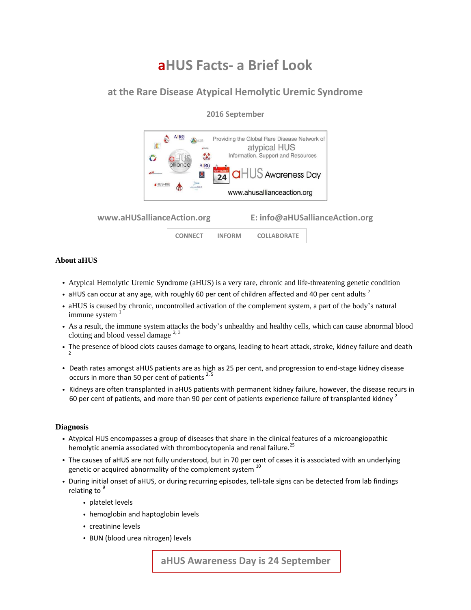# **aHUS Facts- a Brief Look**

## **at the Rare Disease Atypical Hemolytic Uremic Syndrome**

**2016 September**

#### **AIRG** Providing the Global Rare Disease Network of  $\sqrt{2}$ atypical HUS  $\mathcal{L}$ Information, Support and Resources O **A RG**  $HUS$  Awareness Day 24 HUS-ffl www.ahusallianceaction.org

**www.aHUSallianceAction.org E: info@aHUSallianceAction.org**



#### **About aHUS**

- Atypical Hemolytic Uremic Syndrome (aHUS) is a very rare, chronic and life-threatening genetic condition
- aHUS can occur at any age, with roughly 60 per cent of children affected and 40 per cent adults  $^2$
- aHUS is caused by chronic, uncontrolled activation of the complement system, a part of the body's natural immune system
- As a result, the immune system attacks the body's unhealthy and healthy cells, which can cause abnormal blood clotting and blood vessel damage  $^{2, 3}$
- The presence of blood clots causes damage to organs, leading to heart attack, stroke, kidney failure and death 2
- Death rates amongst aHUS patients are as high as 25 per cent, and progression to end-stage kidney disease occurs in more than 50 per cent of patients  $2,5$
- Kidneys are often transplanted in aHUS patients with permanent kidney failure, however, the disease recurs in 60 per cent of patients, and more than 90 per cent of patients experience failure of transplanted kidney  $^2$

#### **Diagnosis**

- Atypical HUS encompasses a group of diseases that share in the clinical features of a microangiopathic hemolytic anemia associated with thrombocytopenia and renal failure.<sup>25</sup>
- The causes of aHUS are not fully understood, but in 70 per cent of cases it is associated with an underlying genetic or acquired abnormality of the complement system  $10$
- During initial onset of aHUS, or during recurring episodes, tell-tale signs can be detected from lab findings relating to  $9$ 
	- platelet levels
	- hemoglobin and haptoglobin levels
	- creatinine levels
	- BUN (blood urea nitrogen) levels

 **aHUS Awareness Day is 24 September**